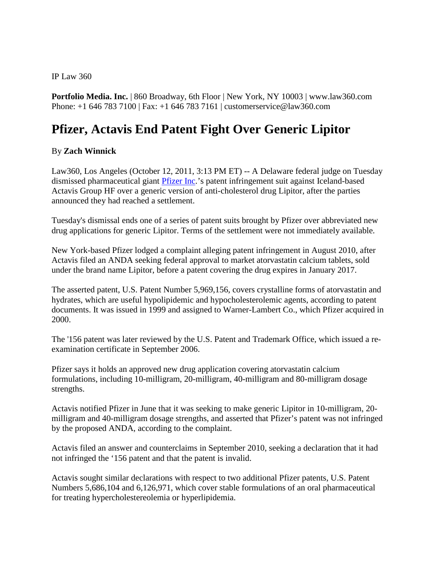IP Law 360

**Portfolio Media. Inc.** | 860 Broadway, 6th Floor | New York, NY 10003 | www.law360.com Phone: +1 646 783 7100 | Fax: +1 646 783 7161 | customerservice@law360.com

## **Pfizer, Actavis End Patent Fight Over Generic Lipitor**

## By **Zach Winnick**

Law360, Los Angeles (October 12, 2011, 3:13 PM ET) -- A Delaware federal judge on Tuesday dismissed pharmaceutical giant [Pfizer Inc.](http://www.law360.com/company/pfizer-inc)'s patent infringement suit against Iceland-based Actavis Group HF over a generic version of anti-cholesterol drug Lipitor, after the parties announced they had reached a settlement.

Tuesday's dismissal ends one of a series of patent suits brought by Pfizer over abbreviated new drug applications for generic Lipitor. Terms of the settlement were not immediately available.

New York-based Pfizer lodged a complaint alleging patent infringement in August 2010, after Actavis filed an ANDA seeking federal approval to market atorvastatin calcium tablets, sold under the brand name Lipitor, before a patent covering the drug expires in January 2017.

The asserted patent, U.S. Patent Number 5,969,156, covers crystalline forms of atorvastatin and hydrates, which are useful hypolipidemic and hypocholesterolemic agents, according to patent documents. It was issued in 1999 and assigned to Warner-Lambert Co., which Pfizer acquired in 2000.

The '156 patent was later reviewed by the U.S. Patent and Trademark Office, which issued a reexamination certificate in September 2006.

Pfizer says it holds an approved new drug application covering atorvastatin calcium formulations, including 10-milligram, 20-milligram, 40-milligram and 80-milligram dosage strengths.

Actavis notified Pfizer in June that it was seeking to make generic Lipitor in 10-milligram, 20 milligram and 40-milligram dosage strengths, and asserted that Pfizer's patent was not infringed by the proposed ANDA, according to the complaint.

Actavis filed an answer and counterclaims in September 2010, seeking a declaration that it had not infringed the '156 patent and that the patent is invalid.

Actavis sought similar declarations with respect to two additional Pfizer patents, U.S. Patent Numbers 5,686,104 and 6,126,971, which cover stable formulations of an oral pharmaceutical for treating hypercholestereolemia or hyperlipidemia.